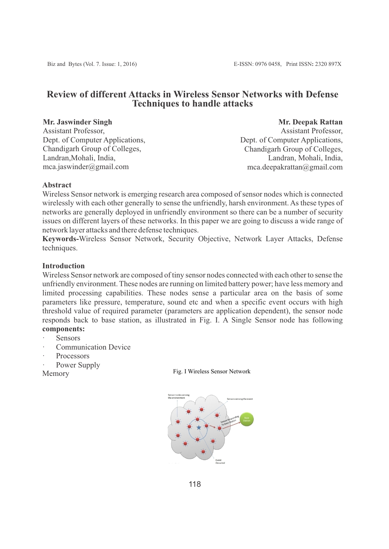# **Review of different Attacks in Wireless Sensor Networks with Defense Techniques to handle attacks**

### **Mr. Jaswinder Singh**

Assistant Professor, Dept. of Computer Applications, Chandigarh Group of Colleges, Landran,Mohali, India, mca.jaswinder@gmail.com

**Mr. Deepak Rattan**

Assistant Professor, Dept. of Computer Applications, Chandigarh Group of Colleges, Landran, Mohali, India, mca.deepakrattan@gmail.com

# **Abstract**

Wireless Sensor network is emerging research area composed of sensor nodes which is connected wirelessly with each other generally to sense the unfriendly, harsh environment. As these types of networks are generally deployed in unfriendly environment so there can be a number of security issues on different layers of these networks. In this paper we are going to discuss a wide range of network layer attacks and there defense techniques.

**Keywords-**Wireless Sensor Network, Security Objective, Network Layer Attacks, Defense techniques.

# **Introduction**

Wireless Sensor network are composed of tiny sensor nodes connected with each other to sense the unfriendly environment. These nodes are running on limited battery power; have less memory and limited processing capabilities. These nodes sense a particular area on the basis of some parameters like pressure, temperature, sound etc and when a specific event occurs with high threshold value of required parameter (parameters are application dependent), the sensor node responds back to base station, as illustrated in Fig. I. A Single Sensor node has following **components:**

- **Sensors**
- Communication Device
- **Processors**
- Power Supply

Memory Fig. I Wireless Sensor Network

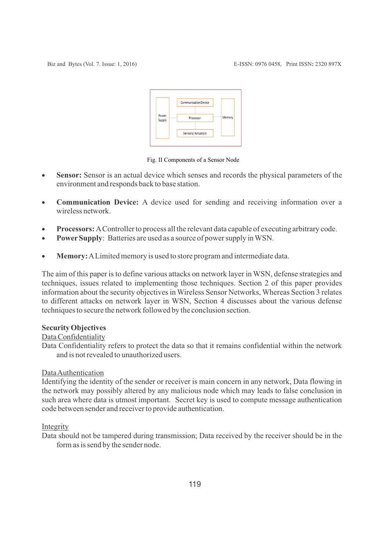| Power<br>Supply | <b>Communication Device</b> | Memory |
|-----------------|-----------------------------|--------|
|                 | Processor                   |        |
|                 | Sensors/Actuators           |        |

Fig. II Components of a Sensor Node

- · **Sensor:** Sensor is an actual device which senses and records the physical parameters of the environment and responds back to base station.
- · **Communication Device:** A device used for sending and receiving information over a wireless network.
- · **Processors:** AController to process all the relevant data capable of executing arbitrary code.
- · **PowerSupply**: Batteries are used as a source of power supply in WSN.
- · **Memory:**ALimited memory is used to store program and intermediate data.

The aim of this paper is to define various attacks on network layer in WSN, defense strategies and techniques, issues related to implementing those techniques. Section 2 of this paper provides information about the security objectives in Wireless Sensor Networks, Whereas Section 3 relates to different attacks on network layer in WSN, Section 4 discusses about the various defense techniques to secure the network followed by the conclusion section.

# **Security Objectives**

# Data Confidentiality

Data Confidentiality refers to protect the data so that it remains confidential within the network and is not revealed to unauthorized users.

# Data Authentication

Identifying the identity of the sender or receiver is main concern in any network, Data flowing in the network may possibly altered by any malicious node which may leads to false conclusion in such area where data is utmost important. Secret key is used to compute message authentication code between sender and receiver to provide authentication.

# Integrity

Data should not be tampered during transmission; Data received by the receiver should be in the form as is send by the sender node.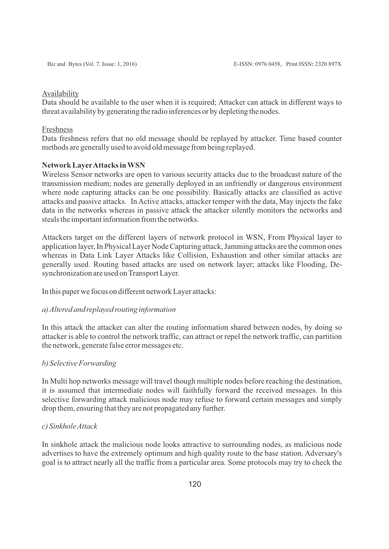#### Availability

Data should be available to the user when it is required; Attacker can attack in different ways to threat availability by generating the radio inferences or by depleting the nodes.

#### Freshness

Data freshness refers that no old message should be replayed by attacker. Time based counter methods are generally used to avoid old message from being replayed.

#### **Network LayerAttacks in WSN**

Wireless Sensor networks are open to various security attacks due to the broadcast nature of the transmission medium; nodes are generally deployed in an unfriendly or dangerous environment where node capturing attacks can be one possibility. Basically attacks are classified as active attacks and passive attacks. In Active attacks, attacker temper with the data, May injects the fake data in the networks whereas in passive attack the attacker silently monitors the networks and steals the important information from the networks.

Attackers target on the different layers of network protocol in WSN, From Physical layer to application layer, In Physical Layer Node Capturing attack, Jamming attacks are the common ones whereas in Data Link Layer Attacks like Collision, Exhaustion and other similar attacks are generally used. Routing based attacks are used on network layer; attacks like Flooding, Desynchronization are used on Transport Layer.

In this paper we focus on different network Layer attacks:

#### *a) Altered and replayed routing information*

In this attack the attacker can alter the routing information shared between nodes, by doing so attacker is able to control the network traffic, can attract or repel the network traffic, can partition the network, generate false error messages etc.

# *b) Selective Forwarding*

In Multi hop networks message will travel though multiple nodes before reaching the destination, it is assumed that intermediate nodes will faithfully forward the received messages. In this selective forwarding attack malicious node may refuse to forward certain messages and simply drop them, ensuring that they are not propagated any further.

### *c) Sinkhole Attack*

In sinkhole attack the malicious node looks attractive to surrounding nodes, as malicious node advertises to have the extremely optimum and high quality route to the base station. Adversary's goal is to attract nearly all the traffic from a particular area. Some protocols may try to check the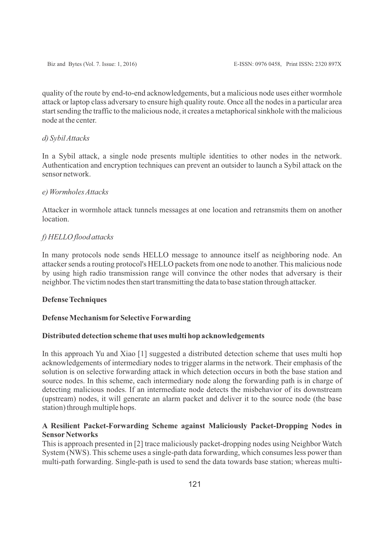quality of the route by end-to-end acknowledgements, but a malicious node uses either wormhole attack or laptop class adversary to ensure high quality route. Once all the nodes in a particular area start sending the traffic to the malicious node, it creates a metaphorical sinkhole with the malicious node at the center.

### *d) Sybil Attacks*

In a Sybil attack, a single node presents multiple identities to other nodes in the network. Authentication and encryption techniques can prevent an outsider to launch a Sybil attack on the sensor network.

### *e) Wormholes Attacks*

Attacker in wormhole attack tunnels messages at one location and retransmits them on another location.

# *f) HELLO flood attacks*

In many protocols node sends HELLO message to announce itself as neighboring node. An attacker sends a routing protocol's HELLO packets from one node to another. This malicious node by using high radio transmission range will convince the other nodes that adversary is their neighbor. The victim nodes then start transmitting the data to base station through attacker.

# **Defense Techniques**

# **Defense Mechanism forSelective Forwarding**

#### **Distributed detection scheme that uses multi hop acknowledgements**

In this approach Yu and Xiao [1] suggested a distributed detection scheme that uses multi hop acknowledgements of intermediary nodes to trigger alarms in the network. Their emphasis of the solution is on selective forwarding attack in which detection occurs in both the base station and source nodes. In this scheme, each intermediary node along the forwarding path is in charge of detecting malicious nodes. If an intermediate node detects the misbehavior of its downstream (upstream) nodes, it will generate an alarm packet and deliver it to the source node (the base station) through multiple hops.

# **A Resilient Packet-Forwarding Scheme against Maliciously Packet-Dropping Nodes in Sensor Networks**

This is approach presented in [2] trace maliciously packet-dropping nodes using Neighbor Watch System (NWS). This scheme uses a single-path data forwarding, which consumes less power than multi-path forwarding. Single-path is used to send the data towards base station; whereas multi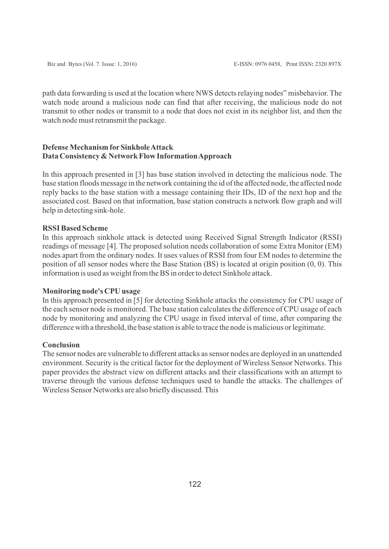path data forwarding is used at the location where NWS detects relaying nodes" misbehavior. The watch node around a malicious node can find that after receiving, the malicious node do not transmit to other nodes or transmit to a node that does not exist in its neighbor list, and then the watch node must retransmit the package.

# **Defense Mechanism forSinkhole Attack Data Consistency & Network Flow Information Approach**

In this approach presented in [3] has base station involved in detecting the malicious node. The base station floods message in the network containing the id of the affected node, the affected node reply backs to the base station with a message containing their IDs, ID of the next hop and the associated cost. Based on that information, base station constructs a network flow graph and will help in detecting sink-hole.

# **RSSI Based Scheme**

In this approach sinkhole attack is detected using Received Signal Strength Indicator (RSSI) readings of message [4]. The proposed solution needs collaboration of some Extra Monitor (EM) nodes apart from the ordinary nodes. It uses values of RSSI from four EM nodes to determine the position of all sensor nodes where the Base Station (BS) is located at origin position (0, 0). This information is used as weight from the BS in order to detect Sinkhole attack.

#### **Monitoring node's CPU usage**

In this approach presented in [5] for detecting Sinkhole attacks the consistency for CPU usage of the each sensor node is monitored. The base station calculates the difference of CPU usage of each node by monitoring and analyzing the CPU usage in fixed interval of time, after comparing the difference with a threshold, the base station is able to trace the node is malicious or legitimate.

### **Conclusion**

The sensor nodes are vulnerable to different attacks as sensor nodes are deployed in an unattended environment. Security is the critical factor for the deployment of Wireless Sensor Networks. This paper provides the abstract view on different attacks and their classifications with an attempt to traverse through the various defense techniques used to handle the attacks. The challenges of Wireless Sensor Networks are also briefly discussed. This